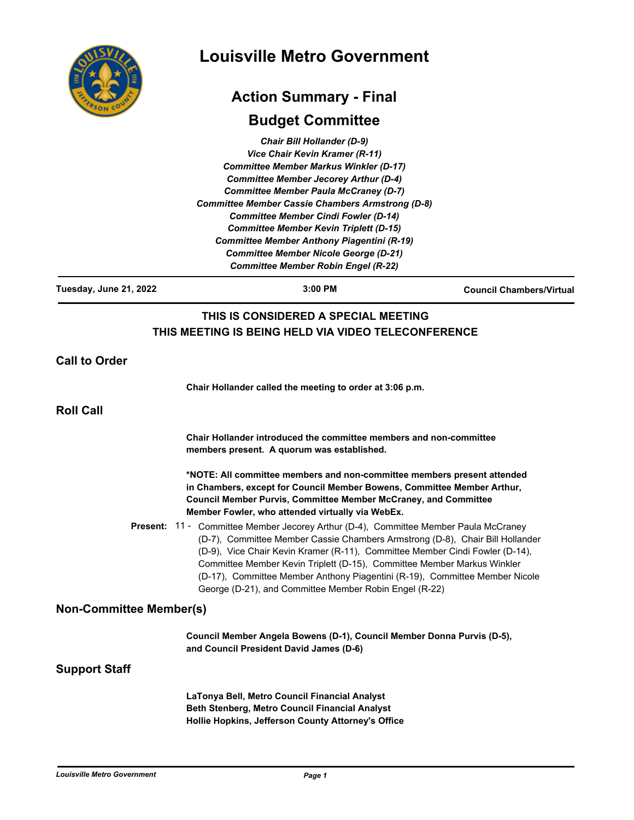|                                | <b>Louisville Metro Government</b>                                                                                                                                                                                                                                                                                                                                                                                                                                                                                                 |                                 |
|--------------------------------|------------------------------------------------------------------------------------------------------------------------------------------------------------------------------------------------------------------------------------------------------------------------------------------------------------------------------------------------------------------------------------------------------------------------------------------------------------------------------------------------------------------------------------|---------------------------------|
|                                | <b>Action Summary - Final</b>                                                                                                                                                                                                                                                                                                                                                                                                                                                                                                      |                                 |
|                                | <b>Budget Committee</b>                                                                                                                                                                                                                                                                                                                                                                                                                                                                                                            |                                 |
|                                | <b>Chair Bill Hollander (D-9)</b><br>Vice Chair Kevin Kramer (R-11)<br><b>Committee Member Markus Winkler (D-17)</b><br><b>Committee Member Jecorey Arthur (D-4)</b><br><b>Committee Member Paula McCraney (D-7)</b><br><b>Committee Member Cassie Chambers Armstrong (D-8)</b><br><b>Committee Member Cindi Fowler (D-14)</b><br><b>Committee Member Kevin Triplett (D-15)</b><br><b>Committee Member Anthony Piagentini (R-19)</b><br><b>Committee Member Nicole George (D-21)</b><br><b>Committee Member Robin Engel (R-22)</b> |                                 |
| Tuesday, June 21, 2022         | 3:00 PM                                                                                                                                                                                                                                                                                                                                                                                                                                                                                                                            | <b>Council Chambers/Virtual</b> |
|                                | THIS IS CONSIDERED A SPECIAL MEETING<br>THIS MEETING IS BEING HELD VIA VIDEO TELECONFERENCE                                                                                                                                                                                                                                                                                                                                                                                                                                        |                                 |
| <b>Call to Order</b>           |                                                                                                                                                                                                                                                                                                                                                                                                                                                                                                                                    |                                 |
|                                | Chair Hollander called the meeting to order at 3:06 p.m.                                                                                                                                                                                                                                                                                                                                                                                                                                                                           |                                 |
| <b>Roll Call</b>               |                                                                                                                                                                                                                                                                                                                                                                                                                                                                                                                                    |                                 |
|                                | Chair Hollander introduced the committee members and non-committee<br>members present. A quorum was established.                                                                                                                                                                                                                                                                                                                                                                                                                   |                                 |
|                                | *NOTE: All committee members and non-committee members present attended<br>in Chambers, except for Council Member Bowens, Committee Member Arthur,<br><b>Council Member Purvis, Committee Member McCraney, and Committee</b><br>Member Fowler, who attended virtually via WebEx.                                                                                                                                                                                                                                                   |                                 |
|                                | <b>Present: 11 - Committee Member Jecorey Arthur (D-4), Committee Member Paula McCraney</b><br>(D-7), Committee Member Cassie Chambers Armstrong (D-8), Chair Bill Hollander<br>(D-9), Vice Chair Kevin Kramer (R-11), Committee Member Cindi Fowler (D-14),<br>Committee Member Kevin Triplett (D-15), Committee Member Markus Winkler<br>(D-17), Committee Member Anthony Piagentini (R-19), Committee Member Nicole<br>George (D-21), and Committee Member Robin Engel (R-22)                                                   |                                 |
| <b>Non-Committee Member(s)</b> |                                                                                                                                                                                                                                                                                                                                                                                                                                                                                                                                    |                                 |
|                                | Council Member Angela Bowens (D-1), Council Member Donna Purvis (D-5),<br>and Council President David James (D-6)                                                                                                                                                                                                                                                                                                                                                                                                                  |                                 |
| <b>Support Staff</b>           |                                                                                                                                                                                                                                                                                                                                                                                                                                                                                                                                    |                                 |
|                                | LaTonya Bell, Metro Council Financial Analyst<br>Beth Stenberg, Metro Council Financial Analyst<br>Hollie Hopkins, Jefferson County Attorney's Office                                                                                                                                                                                                                                                                                                                                                                              |                                 |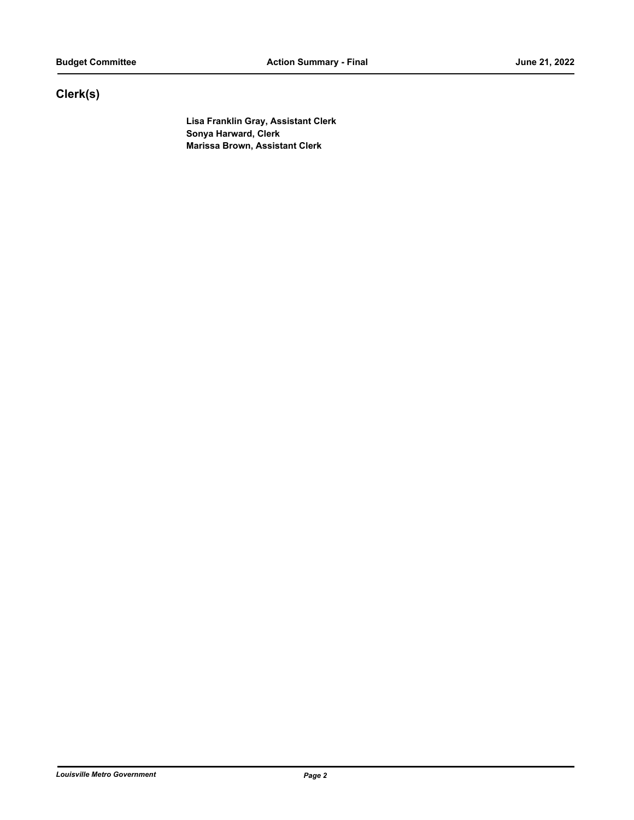# **Clerk(s)**

**Lisa Franklin Gray, Assistant Clerk Sonya Harward, Clerk Marissa Brown, Assistant Clerk**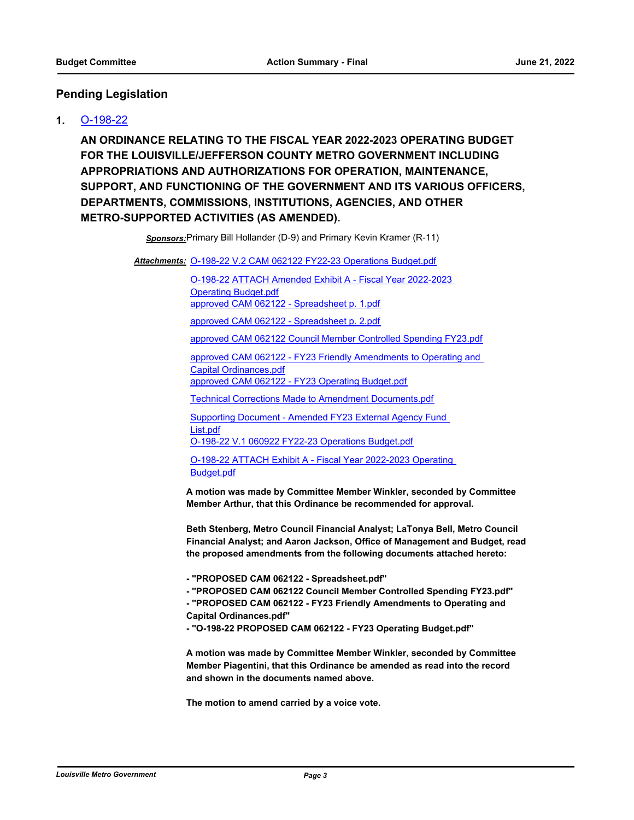## **Pending Legislation**

### **1.** [O-198-22](http://louisville.legistar.com/gateway.aspx?m=l&id=/matter.aspx?key=60685)

**AN ORDINANCE RELATING TO THE FISCAL YEAR 2022-2023 OPERATING BUDGET FOR THE LOUISVILLE/JEFFERSON COUNTY METRO GOVERNMENT INCLUDING APPROPRIATIONS AND AUTHORIZATIONS FOR OPERATION, MAINTENANCE, SUPPORT, AND FUNCTIONING OF THE GOVERNMENT AND ITS VARIOUS OFFICERS, DEPARTMENTS, COMMISSIONS, INSTITUTIONS, AGENCIES, AND OTHER METRO-SUPPORTED ACTIVITIES (AS AMENDED).**

*Sponsors:*Primary Bill Hollander (D-9) and Primary Kevin Kramer (R-11)

Attachments: [O-198-22 V.2 CAM 062122 FY22-23 Operations Budget.pdf](http://louisville.legistar.com/gateway.aspx?M=F&ID=47de01e3-87f2-4d81-87fe-f33d100c70c7.pdf)

[O-198-22 ATTACH Amended Exhibit A - Fiscal Year 2022-2023](http://louisville.legistar.com/gateway.aspx?M=F&ID=cd6e5cdd-3cec-4a85-a80c-e600d67e2a54.pdf)  Operating Budget.pdf [approved CAM 062122 - Spreadsheet p. 1.pdf](http://louisville.legistar.com/gateway.aspx?M=F&ID=917d2a18-f4df-4248-9f4a-24f194eb814f.pdf) [approved CAM 062122 - Spreadsheet p. 2.pdf](http://louisville.legistar.com/gateway.aspx?M=F&ID=e576f4f0-adc4-4c0f-bc3f-257a9bff08f9.pdf)

[approved CAM 062122 Council Member Controlled Spending FY23.pdf](http://louisville.legistar.com/gateway.aspx?M=F&ID=cda8a7e0-40ad-410d-b718-3d54498047ff.pdf)

[approved CAM 062122 - FY23 Friendly Amendments to Operating and](http://louisville.legistar.com/gateway.aspx?M=F&ID=43ec8d07-da35-4649-919d-32b040015012.pdf)  Capital Ordinances.pdf [approved CAM 062122 - FY23 Operating Budget.pdf](http://louisville.legistar.com/gateway.aspx?M=F&ID=d77c3a39-eacb-4d26-84a4-022af5084594.pdf)

[Technical Corrections Made to Amendment Documents.pdf](http://louisville.legistar.com/gateway.aspx?M=F&ID=d3f2b148-fafa-42ed-8bb2-1ce6bac98518.pdf)

[Supporting Document - Amended FY23 External Agency Fund](http://louisville.legistar.com/gateway.aspx?M=F&ID=647f327e-b3bc-4b89-9a30-92dbbd39959b.pdf)  List.pdf

[O-198-22 V.1 060922 FY22-23 Operations Budget.pdf](http://louisville.legistar.com/gateway.aspx?M=F&ID=1f3e0f16-04a0-4b3f-b066-db49063bf41a.pdf)

[O-198-22 ATTACH Exhibit A - Fiscal Year 2022-2023 Operating](http://louisville.legistar.com/gateway.aspx?M=F&ID=65975dd2-700d-4eac-8dac-ea7f1ae4ccb2.pdf)  Budget.pdf

**A motion was made by Committee Member Winkler, seconded by Committee Member Arthur, that this Ordinance be recommended for approval.**

**Beth Stenberg, Metro Council Financial Analyst; LaTonya Bell, Metro Council Financial Analyst; and Aaron Jackson, Office of Management and Budget, read the proposed amendments from the following documents attached hereto:**

**- "PROPOSED CAM 062122 - Spreadsheet.pdf"**

**- "PROPOSED CAM 062122 Council Member Controlled Spending FY23.pdf" - "PROPOSED CAM 062122 - FY23 Friendly Amendments to Operating and Capital Ordinances.pdf"**

**- "O-198-22 PROPOSED CAM 062122 - FY23 Operating Budget.pdf"**

**A motion was made by Committee Member Winkler, seconded by Committee Member Piagentini, that this Ordinance be amended as read into the record and shown in the documents named above.**

**The motion to amend carried by a voice vote.**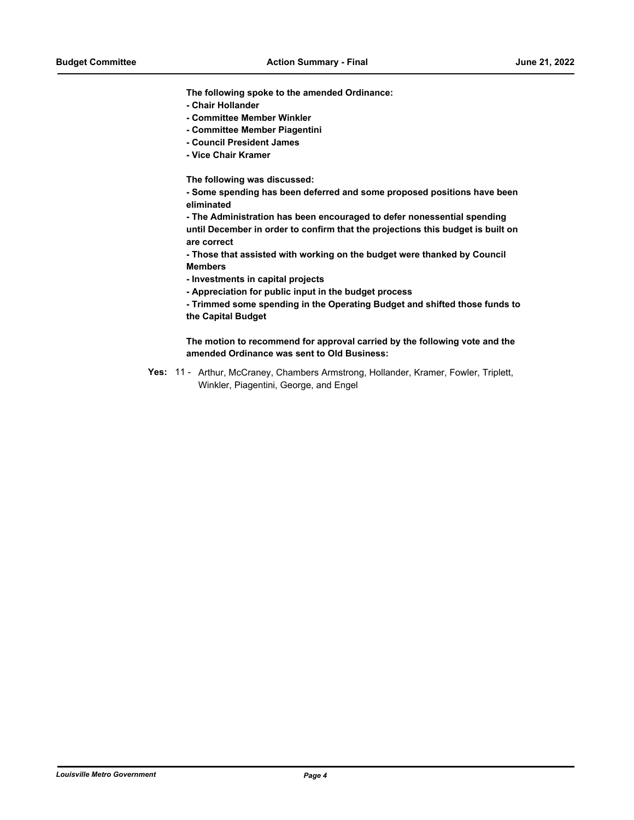**The following spoke to the amended Ordinance:**

- **Chair Hollander**
- **Committee Member Winkler**
- **Committee Member Piagentini**
- **Council President James**
- **Vice Chair Kramer**

**The following was discussed:**

**- Some spending has been deferred and some proposed positions have been eliminated**

**- The Administration has been encouraged to defer nonessential spending until December in order to confirm that the projections this budget is built on are correct** 

**- Those that assisted with working on the budget were thanked by Council Members**

- **Investments in capital projects**
- **Appreciation for public input in the budget process**

**- Trimmed some spending in the Operating Budget and shifted those funds to the Capital Budget**

**The motion to recommend for approval carried by the following vote and the amended Ordinance was sent to Old Business:**

Yes: 11 - Arthur, McCraney, Chambers Armstrong, Hollander, Kramer, Fowler, Triplett, Winkler, Piagentini, George, and Engel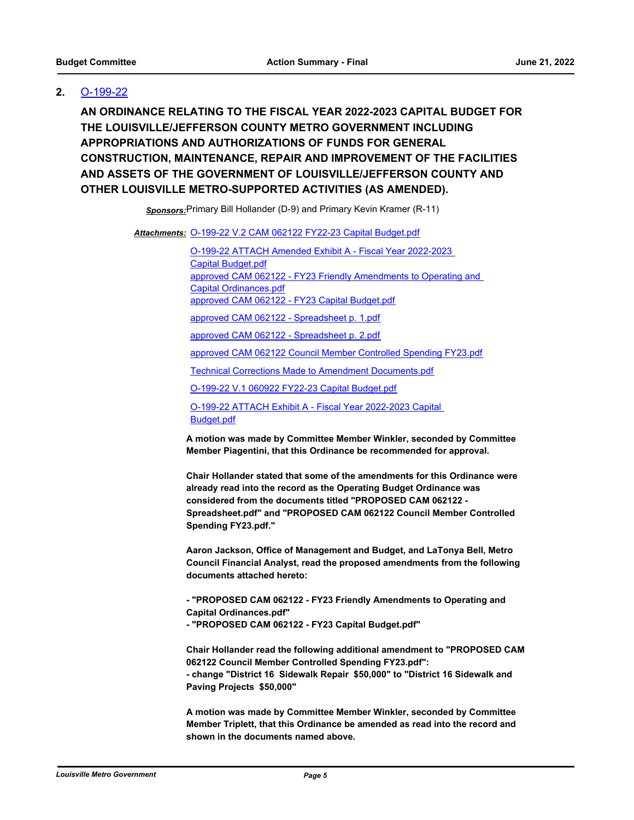## **2.** [O-199-22](http://louisville.legistar.com/gateway.aspx?m=l&id=/matter.aspx?key=60689)

**AN ORDINANCE RELATING TO THE FISCAL YEAR 2022-2023 CAPITAL BUDGET FOR THE LOUISVILLE/JEFFERSON COUNTY METRO GOVERNMENT INCLUDING APPROPRIATIONS AND AUTHORIZATIONS OF FUNDS FOR GENERAL CONSTRUCTION, MAINTENANCE, REPAIR AND IMPROVEMENT OF THE FACILITIES AND ASSETS OF THE GOVERNMENT OF LOUISVILLE/JEFFERSON COUNTY AND OTHER LOUISVILLE METRO-SUPPORTED ACTIVITIES (AS AMENDED).**

*Sponsors:*Primary Bill Hollander (D-9) and Primary Kevin Kramer (R-11)

Attachments: 0-199-22 V.2 CAM 062122 FY22-23 Capital Budget.pdf

[O-199-22 ATTACH Amended Exhibit A - Fiscal Year 2022-2023](http://louisville.legistar.com/gateway.aspx?M=F&ID=5fa578ad-bfc2-4c03-b5a9-94ca9af2eb5f.pdf)  Capital Budget.pdf [approved CAM 062122 - FY23 Friendly Amendments to Operating and](http://louisville.legistar.com/gateway.aspx?M=F&ID=8d1a149c-9570-49dc-a8c0-067880c574da.pdf)  Capital Ordinances.pdf [approved CAM 062122 - FY23 Capital Budget.pdf](http://louisville.legistar.com/gateway.aspx?M=F&ID=6fc29c93-8757-4acb-a58f-2826a9d50a85.pdf) [approved CAM 062122 - Spreadsheet p. 1.pdf](http://louisville.legistar.com/gateway.aspx?M=F&ID=42561a2e-171c-4856-97a8-bc20f33eda7d.pdf) [approved CAM 062122 - Spreadsheet p. 2.pdf](http://louisville.legistar.com/gateway.aspx?M=F&ID=03ac7bca-4066-4797-8e5d-f137b28572b9.pdf) [approved CAM 062122 Council Member Controlled Spending FY23.pdf](http://louisville.legistar.com/gateway.aspx?M=F&ID=6cb8b6f7-b66d-4bfb-9ce9-821c8361abca.pdf) [Technical Corrections Made to Amendment Documents.pdf](http://louisville.legistar.com/gateway.aspx?M=F&ID=e6373915-dce3-4a83-b37d-c93658912161.pdf) [O-199-22 V.1 060922 FY22-23 Capital Budget.pdf](http://louisville.legistar.com/gateway.aspx?M=F&ID=ae8f67e1-1eb4-4ece-af7d-45de787f8ede.pdf) [O-199-22 ATTACH Exhibit A - Fiscal Year 2022-2023 Capital](http://louisville.legistar.com/gateway.aspx?M=F&ID=f75b6e71-e82f-419a-aa56-5ed22f640877.pdf)  Budget.pdf

**A motion was made by Committee Member Winkler, seconded by Committee Member Piagentini, that this Ordinance be recommended for approval.**

**Chair Hollander stated that some of the amendments for this Ordinance were already read into the record as the Operating Budget Ordinance was considered from the documents titled "PROPOSED CAM 062122 - Spreadsheet.pdf" and "PROPOSED CAM 062122 Council Member Controlled Spending FY23.pdf."**

**Aaron Jackson, Office of Management and Budget, and LaTonya Bell, Metro Council Financial Analyst, read the proposed amendments from the following documents attached hereto:**

**- "PROPOSED CAM 062122 - FY23 Friendly Amendments to Operating and Capital Ordinances.pdf"**

**- "PROPOSED CAM 062122 - FY23 Capital Budget.pdf"**

**Chair Hollander read the following additional amendment to "PROPOSED CAM 062122 Council Member Controlled Spending FY23.pdf": - change "District 16 Sidewalk Repair \$50,000" to "District 16 Sidewalk and Paving Projects \$50,000"** 

**A motion was made by Committee Member Winkler, seconded by Committee Member Triplett, that this Ordinance be amended as read into the record and shown in the documents named above.**